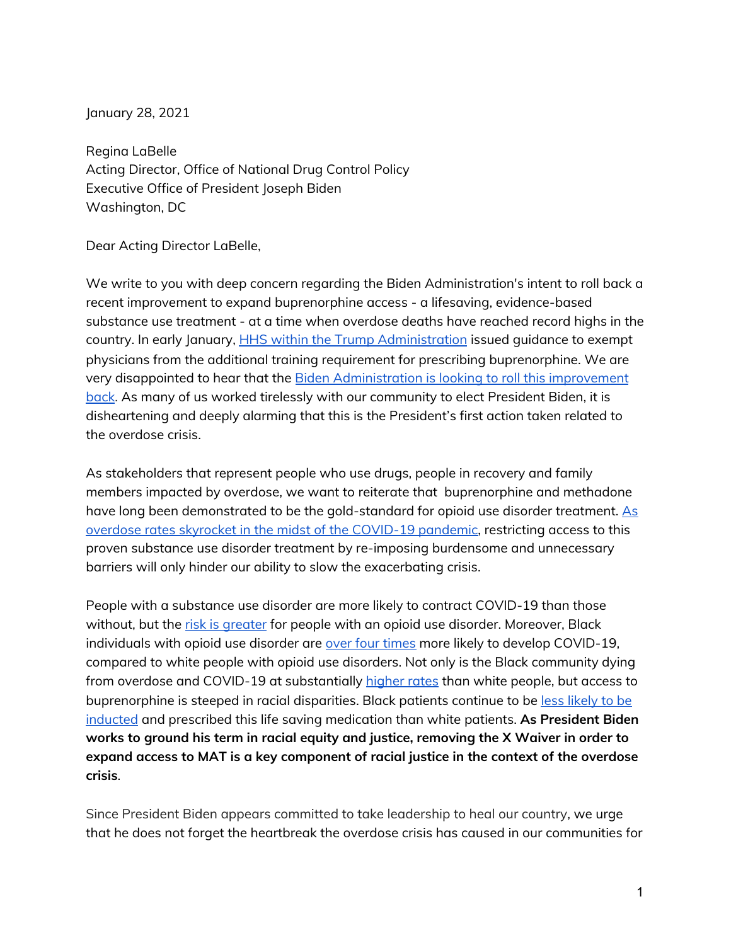January 28, 2021

Regina LaBelle Acting Director, Office of National Drug Control Policy Executive Office of President Joseph Biden Washington, DC

Dear Acting Director LaBelle,

We write to you with deep concern regarding the Biden Administration's intent to roll back a recent improvement to expand buprenorphine access - a lifesaving, evidence-based substance use treatment - at a time when overdose deaths have reached record highs in the country. In early January, **HHS within the Trump Administration** issued guidance to exempt physicians from the additional training requirement for prescribing buprenorphine. We are very disappointed to hear that the [Biden Administration is looking to roll this improvement](https://www.washingtonpost.com/health/2021/01/25/biden-buprenorphine-waiver/) [back](https://www.washingtonpost.com/health/2021/01/25/biden-buprenorphine-waiver/). As many of us worked tirelessly with our community to elect President Biden, it is disheartening and deeply alarming that this is the President's first action taken related to the overdose crisis.

As stakeholders that represent people who use drugs, people in recovery and family members impacted by overdose, we want to reiterate that buprenorphine and methadone have long been demonstrated to be the gold-standard for opioid use disorder treatment. As [overdose rates skyrocket in the midst of the COVID-19 pandemic](https://www.cdc.gov/media/releases/2020/p1218-overdose-deaths-covid-19.html#:~:text=Over%2081%2C000%20drug%20overdose%20deaths,Control%20and%20Prevention%20(CDC).), restricting access to this proven substance use disorder treatment by re-imposing burdensome and unnecessary barriers will only hinder our ability to slow the exacerbating crisis.

People with a substance use disorder are more likely to contract COVID-19 than those without, but the [risk is greater](https://www.nih.gov/news-events/news-releases/substance-use-disorders-linked-covid-19-susceptibility) for people with an opioid use disorder. Moreover, Black individuals with opioid use disorder are [over four times](https://www.nih.gov/news-events/news-releases/substance-use-disorders-linked-covid-19-susceptibility) more likely to develop COVID-19, compared to white people with opioid use disorders. Not only is the Black community dying from overdose and COVID-19 at substantially [higher rates](https://jamanetwork.com/journals/jamanetworkopen/fullarticle/2764663) than white people, but access to buprenorphine is steeped in racial disparities. Black patients continue to be [less likely to be](https://jamanetwork.com/journals/jamanetworkopen/fullarticle/2764663)  [inducted](https://jamanetwork.com/journals/jamanetworkopen/fullarticle/2764663) and prescribed this life saving medication than white patients. **As President Biden works to ground his term in racial equity and justice, removing the X Waiver in order to expand access to MAT is a key component of racial justice in the context of the overdose crisis**.

Since President Biden appears committed to take leadership to heal our country, we urge that he does not forget the heartbreak the overdose crisis has caused in our communities for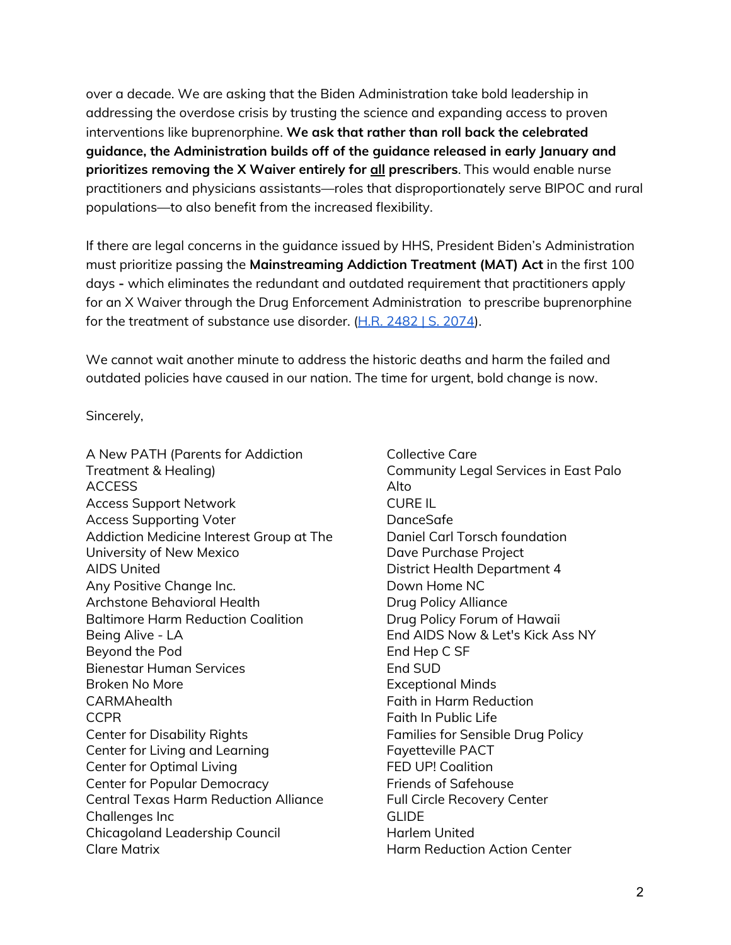over a decade. We are asking that the Biden Administration take bold leadership in addressing the overdose crisis by trusting the science and expanding access to proven interventions like buprenorphine. **We ask that rather than roll back the celebrated guidance, the Administration builds off of the guidance released in early January and prioritizes removing the X Waiver entirely for all prescribers**. This would enable nurse practitioners and physicians assistants—roles that disproportionately serve BIPOC and rural populations—to also benefit from the increased flexibility.

If there are legal concerns in the guidance issued by HHS, President Biden's Administration must prioritize passing the **Mainstreaming Addiction Treatment (MAT) Act** in the first 100 days **-** which eliminates the redundant and outdated requirement that practitioners apply for an X Waiver through the Drug Enforcement Administration to prescribe buprenorphine for the treatment of substance use disorder.  $(H.R. 2482 | S. 2074)$  $(H.R. 2482 | S. 2074)$ .

We cannot wait another minute to address the historic deaths and harm the failed and outdated policies have caused in our nation. The time for urgent, bold change is now.

Sincerely,

A New PATH (Parents for Addiction Treatment & Healing) ACCESS Access Support Network Access Supporting Voter Addiction Medicine Interest Group at The University of New Mexico AIDS United Any Positive Change Inc. Archstone Behavioral Health Baltimore Harm Reduction Coalition Being Alive - LA Beyond the Pod Bienestar Human Services Broken No More CARMAhealth CCPR Center for Disability Rights Center for Living and Learning Center for Optimal Living Center for Popular Democracy Central Texas Harm Reduction Alliance Challenges Inc Chicagoland Leadership Council Clare Matrix

Collective Care Community Legal Services in East Palo Alto CURE IL DanceSafe Daniel Carl Torsch foundation Dave Purchase Project District Health Department 4 Down Home NC Drug Policy Alliance Drug Policy Forum of Hawaii End AIDS Now & Let's Kick Ass NY End Hep C SF End SUD Exceptional Minds Faith in Harm Reduction Faith In Public Life Families for Sensible Drug Policy Fayetteville PACT FED UP! Coalition Friends of Safehouse Full Circle Recovery Center GLIDE Harlem United Harm Reduction Action Center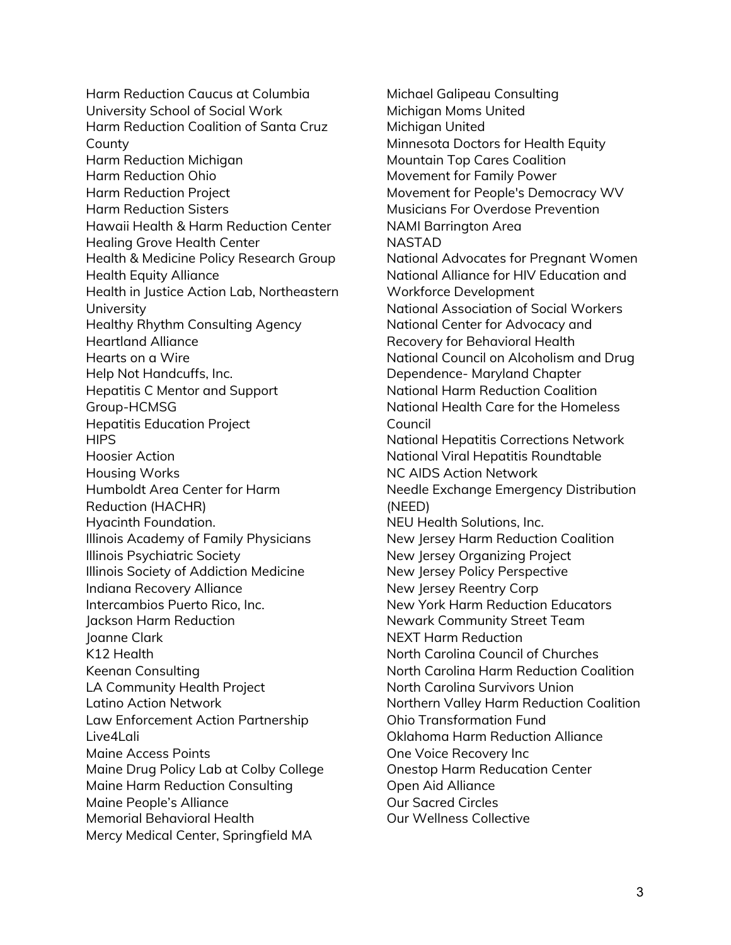Harm Reduction Caucus at Columbia University School of Social Work Harm Reduction Coalition of Santa Cruz County Harm Reduction Michigan Harm Reduction Ohio Harm Reduction Project Harm Reduction Sisters Hawaii Health & Harm Reduction Center Healing Grove Health Center Health & Medicine Policy Research Group Health Equity Alliance Health in Justice Action Lab, Northeastern University Healthy Rhythm Consulting Agency Heartland Alliance Hearts on a Wire Help Not Handcuffs, Inc. Hepatitis C Mentor and Support Group-HCMSG Hepatitis Education Project **HIPS** Hoosier Action Housing Works Humboldt Area Center for Harm Reduction (HACHR) Hyacinth Foundation. Illinois Academy of Family Physicians Illinois Psychiatric Society Illinois Society of Addiction Medicine Indiana Recovery Alliance Intercambios Puerto Rico, Inc. Jackson Harm Reduction Joanne Clark K12 Health Keenan Consulting LA Community Health Project Latino Action Network Law Enforcement Action Partnership Live4Lali Maine Access Points Maine Drug Policy Lab at Colby College Maine Harm Reduction Consulting Maine People's Alliance Memorial Behavioral Health Mercy Medical Center, Springfield MA

Michael Galipeau Consulting Michigan Moms United Michigan United Minnesota Doctors for Health Equity Mountain Top Cares Coalition Movement for Family Power Movement for People's Democracy WV Musicians For Overdose Prevention NAMI Barrington Area NASTAD National Advocates for Pregnant Women National Alliance for HIV Education and Workforce Development National Association of Social Workers National Center for Advocacy and Recovery for Behavioral Health National Council on Alcoholism and Drug Dependence- Maryland Chapter National Harm Reduction Coalition National Health Care for the Homeless Council National Hepatitis Corrections Network National Viral Hepatitis Roundtable NC AIDS Action Network Needle Exchange Emergency Distribution (NEED) NEU Health Solutions, Inc. New Jersey Harm Reduction Coalition New Jersey Organizing Project New Jersey Policy Perspective New Jersey Reentry Corp New York Harm Reduction Educators Newark Community Street Team NEXT Harm Reduction North Carolina Council of Churches North Carolina Harm Reduction Coalition North Carolina Survivors Union Northern Valley Harm Reduction Coalition Ohio Transformation Fund Oklahoma Harm Reduction Alliance One Voice Recovery Inc Onestop Harm Reducation Center Open Aid Alliance Our Sacred Circles Our Wellness Collective